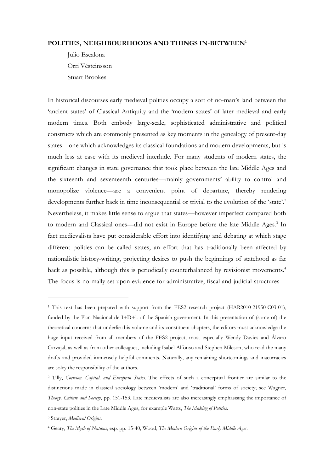## **POLITIES, NEIGHBOURHOODS AND THINGS IN-BETWEEN<sup>1</sup>**

Julio Escalona Orri Vésteinsson Stuart Brookes

In historical discourses early medieval polities occupy a sort of no-man's land between the 'ancient states' of Classical Antiquity and the 'modern states' of later medieval and early modern times. Both embody large-scale, sophisticated administrative and political constructs which are commonly presented as key moments in the genealogy of present-day states – one which acknowledges its classical foundations and modern developments, but is much less at ease with its medieval interlude. For many students of modern states, the significant changes in state governance that took place between the late Middle Ages and the sixteenth and seventeenth centuries—mainly governments' ability to control and monopolize violence—are a convenient point of departure, thereby rendering developments further back in time inconsequential or trivial to the evolution of the 'state'.<sup>2</sup> Nevertheless, it makes little sense to argue that states—however imperfect compared both to modern and Classical ones—did not exist in Europe before the late Middle Ages.<sup>3</sup> In fact medievalists have put considerable effort into identifying and debating at which stage different polities can be called states, an effort that has traditionally been affected by nationalistic history-writing, projecting desires to push the beginnings of statehood as far back as possible, although this is periodically counterbalanced by revisionist movements.<sup>4</sup> The focus is normally set upon evidence for administrative, fiscal and judicial structures—

<sup>&</sup>lt;sup>1</sup> This text has been prepared with support from the FES2 research project (HAR2010-21950-C03-01), funded by the Plan Nacional de I+D+i. of the Spanish government. In this presentation of (some of) the theoretical concerns that underlie this volume and its constituent chapters, the editors must acknowledge the huge input received from all members of the FES2 project, most especially Wendy Davies and Álvaro Carvajal, as well as from other colleagues, including Isabel Alfonso and Stephen Mileson, who read the many drafts and provided immensely helpful comments. Naturally, any remaining shortcomings and inacurracies are soley the responsibility of the authors.

<sup>2</sup> Tilly, *Coercion, Capital, and European States*. The effects of such a conceptual frontier are similar to the distinctions made in classical sociology between 'modern' and 'traditional' forms of society; see Wagner, *Theory, Culture and Society*, pp. 151-153. Late medievalists are also increasingly emphasising the importance of non-state polities in the Late Middle Ages, for example Watts, *The Making of Polities*.

<sup>3</sup> Strayer, *Medieval Origins*.

<sup>4</sup> Geary, *The Myth of Nations*, esp. pp. 15-40; Wood, *The Modern Origins of the Early Middle Ages*.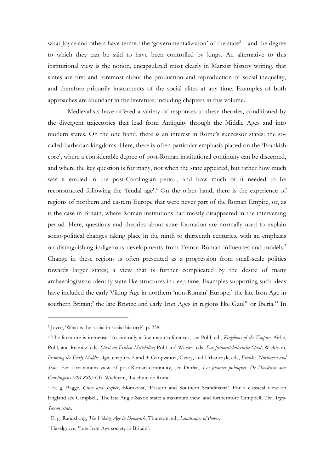what Joyce and others have termed the 'governmentalization' of the state<sup>5</sup>—and the degree to which they can be said to have been controlled by kings. An alternative to this institutional view is the notion, encapsulated most clearly in Marxist history writing, that states are first and foremost about the production and reproduction of social inequality, and therefore primarily instruments of the social elites at any time. Examples of both approaches are abundant in the literature, including chapters in this volume.

Medievalists have offered a variety of responses to these theories, conditioned by the divergent trajectories that lead from Antiquity through the Middle Ages and into modern states. On the one hand, there is an interest in Rome's successor states: the socalled barbarian kingdoms. Here, there is often particular emphasis placed on the 'Frankish core', where a considerable degree of post-Roman institutional continuity can be discerned, and where the key question is for many, not when the state appeared, but rather how much was it eroded in the post-Carolingian period, and how much of it needed to be reconstructed following the 'feudal age'. <sup>6</sup> On the other hand, there is the experience of regions of northern and eastern Europe that were never part of the Roman Empire, or, as is the case in Britain, where Roman institutions had mostly disappeared in the intervening period. Here, questions and theories about state formation are normally used to explain socio-political changes taking place in the ninth to thirteenth centuries, with an emphasis on distinguishing indigenous developments from Franco-Roman influences and models.<sup>7</sup> Change in these regions is often presented as a progression from small-scale polities towards larger states; a view that is further complicated by the desire of many archaeologists to identify state-like structures in deep time. Examples supporting such ideas have included the early Viking Age in northern 'non-Roman' Europe;<sup>8</sup> the late Iron Age in southern Britain;<sup>9</sup> the late Bronze and early Iron Ages in regions like Gaul<sup>10</sup> or Iberia.<sup>11</sup> In

<sup>5</sup> Joyce, 'What is the social in social history?', p. 238.

<sup>6</sup> The literature is immense. To cite only a few major references, see Pohl, ed., *Kingdoms of the Empire*; Airlie, Pohl, and Reimitz, eds, *Staat im Frühen Mittelalter*; Pohl and Wieser, eds, *Der frühmittelalterliche Staat*; Wickham, *Framing the Early Middle Ages*, chapters 2 and 3; Garipzanov, Geary, and Urbanczyk, eds, *Franks, Northmen and Slavs*. For a maximum view of post-Roman continuity, see Durliat, *Les finances publiques. De Diocletien aux Carolingiens (284-888)*. Cfr. Wickham, 'La chute de Rome'.

<sup>7</sup> E. g. Bagge, *Cross and Scepter*; Blomkvist, 'Eastern and Southern Scandinavia'. For a classical view on England see Campbell, 'The late Anglo-Saxon state: a maximum view' and furthermore Campbell, *The Anglo-Saxon State*.

<sup>8</sup> E. g. Randsborg, *The Viking Age in Denmark*; Thurston, ed., *Landscapes of Power*.

<sup>&</sup>lt;sup>9</sup> Haselgrove, 'Late Iron Age society in Britain'.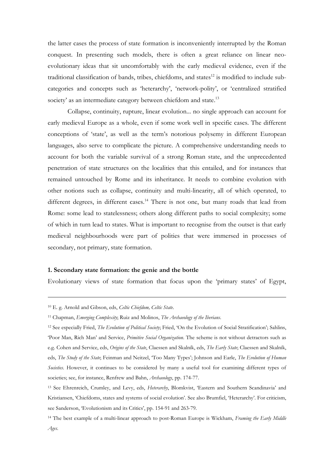the latter cases the process of state formation is inconveniently interrupted by the Roman conquest. In presenting such models, there is often a great reliance on linear neoevolutionary ideas that sit uncomfortably with the early medieval evidence, even if the traditional classification of bands, tribes, chiefdoms, and states<sup>12</sup> is modified to include subcategories and concepts such as 'heterarchy', 'network-polity', or 'centralized stratified society' as an intermediate category between chiefdom and state.<sup>13</sup>

Collapse, continuity, rupture, linear evolution... no single approach can account for early medieval Europe as a whole, even if some work well in specific cases. The different conceptions of 'state', as well as the term's notorious polysemy in different European languages, also serve to complicate the picture. A comprehensive understanding needs to account for both the variable survival of a strong Roman state, and the unprecedented penetration of state structures on the localities that this entailed, and for instances that remained untouched by Rome and its inheritance. It needs to combine evolution with other notions such as collapse, continuity and multi-linearity, all of which operated, to different degrees, in different cases.<sup>14</sup> There is not one, but many roads that lead from Rome: some lead to statelessness; others along different paths to social complexity; some of which in turn lead to states. What is important to recognise from the outset is that early medieval neighbourhoods were part of polities that were immersed in processes of secondary, not primary, state formation.

#### **1. Secondary state formation: the genie and the bottle**

Evolutionary views of state formation that focus upon the 'primary states' of Egypt,

<sup>10</sup> E. g. Arnold and Gibson, eds, *Celtic Chiefdom, Celtic State*.

<sup>11</sup> Chapman, *Emerging Complexity*; Ruiz and Molinos, *The Archaeology of the Iberians*.

<sup>12</sup> See especially Fried, *The Evolution of Political Society*; Fried, 'On the Evolution of Social Stratification'; Sahlins, 'Poor Man, Rich Man' and Service, *Primitive Social Organization*. The scheme is not without detractors such as e.g. Cohen and Service, eds, *Origins of the State*, Claessen and Skalník, eds, *The Early State*; Claessen and Skalník, eds, *The Study of the State*; Feinman and Neitzel, 'Too Many Types'; Johnson and Earle, *The Evolution of Human Societies*. However, it continues to be considered by many a useful tool for examining different types of societies; see, for instance, Renfrew and Bahn, *Archaeology*, pp. 174-77.

<sup>13</sup> See Ehrenreich, Crumley, and Levy, eds, *Heterarchy*, Blomkvist, 'Eastern and Southern Scandinavia' and Kristiansen, 'Chiefdoms, states and systems of social evolution'. See also Brumfiel, 'Heterarchy'. For criticism, see Sanderson, 'Evolutionism and its Critics', pp. 154-91 and 263-79.

<sup>14</sup> The best example of a multi-linear approach to post-Roman Europe is Wickham, *Framing the Early Middle Ages*.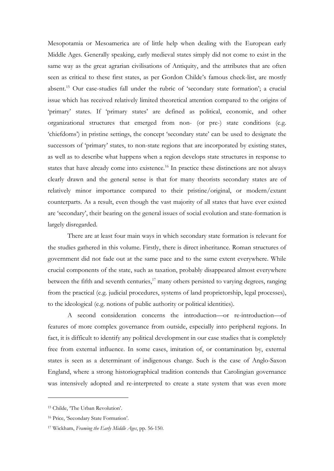Mesopotamia or Mesoamerica are of little help when dealing with the European early Middle Ages. Generally speaking, early medieval states simply did not come to exist in the same way as the great agrarian civilisations of Antiquity, and the attributes that are often seen as critical to these first states, as per Gordon Childe's famous check-list, are mostly absent.<sup>15</sup> Our case-studies fall under the rubric of 'secondary state formation'; a crucial issue which has received relatively limited theoretical attention compared to the origins of 'primary' states. If 'primary states' are defined as political, economic, and other organizational structures that emerged from non- (or pre-) state conditions (e.g. 'chiefdoms') in pristine settings, the concept 'secondary state' can be used to designate the successors of 'primary' states, to non-state regions that are incorporated by existing states, as well as to describe what happens when a region develops state structures in response to states that have already come into existence.<sup>16</sup> In practice these distinctions are not always clearly drawn and the general sense is that for many theorists secondary states are of relatively minor importance compared to their pristine/original, or modern/extant counterparts. As a result, even though the vast majority of all states that have ever existed are 'secondary', their bearing on the general issues of social evolution and state-formation is largely disregarded.

There are at least four main ways in which secondary state formation is relevant for the studies gathered in this volume. Firstly, there is direct inheritance. Roman structures of government did not fade out at the same pace and to the same extent everywhere. While crucial components of the state, such as taxation, probably disappeared almost everywhere between the fifth and seventh centuries, $17$  many others persisted to varying degrees, ranging from the practical (e.g. judicial procedures, systems of land proprietorship, legal processes), to the ideological (e.g. notions of public authority or political identities).

A second consideration concerns the introduction—or re-introduction—of features of more complex governance from outside, especially into peripheral regions. In fact, it is difficult to identify any political development in our case studies that is completely free from external influence. In some cases, imitation of, or contamination by, external states is seen as a determinant of indigenous change. Such is the case of Anglo-Saxon England, where a strong historiographical tradition contends that Carolingian governance was intensively adopted and re-interpreted to create a state system that was even more

<sup>15</sup> Childe, 'The Urban Revolution'.

<sup>16</sup> Price, 'Secondary State Formation'.

<sup>17</sup> Wickham, *Framing the Early Middle Ages*, pp. 56-150.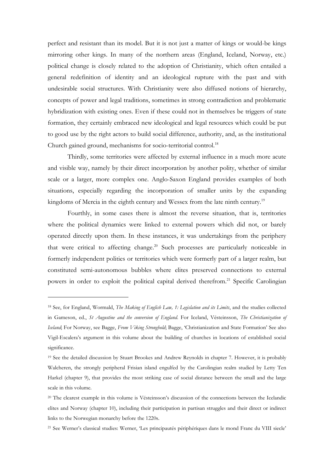perfect and resistant than its model. But it is not just a matter of kings or would-be kings mirroring other kings. In many of the northern areas (England, Iceland, Norway, etc.) political change is closely related to the adoption of Christianity, which often entailed a general redefinition of identity and an ideological rupture with the past and with undesirable social structures. With Christianity were also diffused notions of hierarchy, concepts of power and legal traditions, sometimes in strong contradiction and problematic hybridization with existing ones. Even if these could not in themselves be triggers of state formation, they certainly embraced new ideological and legal resources which could be put to good use by the right actors to build social difference, authority, and, as the institutional Church gained ground, mechanisms for socio-territorial control.<sup>18</sup>

Thirdly, some territories were affected by external influence in a much more acute and visible way, namely by their direct incorporation by another polity, whether of similar scale or a larger, more complex one. Anglo-Saxon England provides examples of both situations, especially regarding the incorporation of smaller units by the expanding kingdoms of Mercia in the eighth century and Wessex from the late ninth century.<sup>19</sup>

Fourthly, in some cases there is almost the reverse situation, that is, territories where the political dynamics were linked to external powers which did not, or barely operated directly upon them. In these instances, it was undertakings from the periphery that were critical to affecting change. <sup>20</sup> Such processes are particularly noticeable in formerly independent polities or territories which were formerly part of a larger realm, but constituted semi-autonomous bubbles where elites preserved connections to external powers in order to exploit the political capital derived therefrom. <sup>21</sup> Specific Carolingian

<sup>18</sup> See, for England, Wormald, *The Making of English Law, 1: Legislation and its Limits*, and the studies collected in Gameson, ed., *St Augustine and the conversion of England*. For Iceland, Vésteinsson, *The Christianization of Iceland*; For Norway, see Bagge, *From Viking Stronghold*; Bagge, 'Christianization and State Formation' See also Vigil-Escalera's argument in this volume about the building of churches in locations of established social significance.

<sup>&</sup>lt;sup>19</sup> See the detailed discussion by Stuart Brookes and Andrew Reynolds in chapter 7. However, it is probably Walcheren, the strongly peripheral Frisian island engulfed by the Carolingian realm studied by Letty Ten Harkel (chapter 9), that provides the most striking case of social distance between the small and the large scale in this volume.

<sup>&</sup>lt;sup>20</sup> The clearest example in this volume is Vésteinsson's discussion of the connections between the Icelandic elites and Norway (chapter 10), including their participation in partisan struggles and their direct or indirect links to the Norwegian monarchy before the 1220s.

<sup>21</sup> See Werner's classical studies: Werner, 'Les principautés périphériques dans le mond Franc du VIII siecle'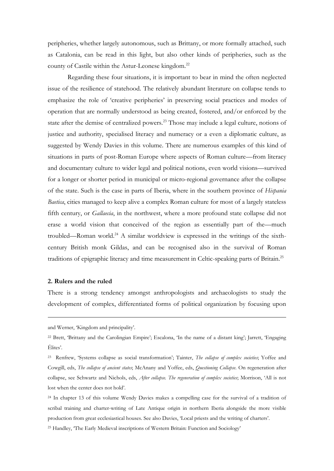peripheries, whether largely autonomous, such as Brittany, or more formally attached, such as Catalonia, can be read in this light, but also other kinds of peripheries, such as the county of Castile within the Astur-Leonese kingdom.<sup>22</sup>

Regarding these four situations, it is important to bear in mind the often neglected issue of the resilience of statehood. The relatively abundant literature on collapse tends to emphasize the role of 'creative peripheries' in preserving social practices and modes of operation that are normally understood as being created, fostered, and/or enforced by the state after the demise of centralized powers.<sup>23</sup> Those may include a legal culture, notions of justice and authority, specialised literacy and numeracy or a even a diplomatic culture, as suggested by Wendy Davies in this volume. There are numerous examples of this kind of situations in parts of post-Roman Europe where aspects of Roman culture––from literacy and documentary culture to wider legal and political notions, even world visions––survived for a longer or shorter period in municipal or micro-regional governance after the collapse of the state. Such is the case in parts of Iberia, where in the southern province of *Hispania Baetica*, cities managed to keep alive a complex Roman culture for most of a largely stateless fifth century, or *Gallaecia*, in the northwest, where a more profound state collapse did not erase a world vision that conceived of the region as essentially part of the––much troubled––Roman world.<sup>24</sup> A similar worldview is expressed in the writings of the sixthcentury British monk Gildas, and can be recognised also in the survival of Roman traditions of epigraphic literacy and time measurement in Celtic-speaking parts of Britain.<sup>25</sup>

#### **2. Rulers and the ruled**

<u>.</u>

There is a strong tendency amongst anthropologists and archaeologists to study the development of complex, differentiated forms of political organization by focusing upon

and Werner, 'Kingdom and principality'.

<sup>25</sup> Handley, 'The Early Medieval inscriptions of Western Britain: Function and Sociology'

<sup>22</sup> Brett, 'Brittany and the Carolingian Empire'; Escalona, 'In the name of a distant king'; Jarrett, 'Engaging Élites'.

<sup>23</sup> Renfrew, 'Systems collapse as social transformation'; Tainter, *The collapse of complex societies*; Yoffee and Cowgill, eds, *The collapse of ancient states*; McAnany and Yoffee, eds, *Questioning Collapse*. On regeneration after collapse, see Schwartz and Nichols, eds, *After collapse. The regeneration of complex societies*; Morrison, 'All is not lost when the center does not hold'.

<sup>24</sup> In chapter 13 of this volume Wendy Davies makes a compelling case for the survival of a tradition of scribal training and charter-writing of Late Antique origin in northern Iberia alongside the more visible production from great ecclesiastical houses. See also Davies, 'Local priests and the writing of charters'.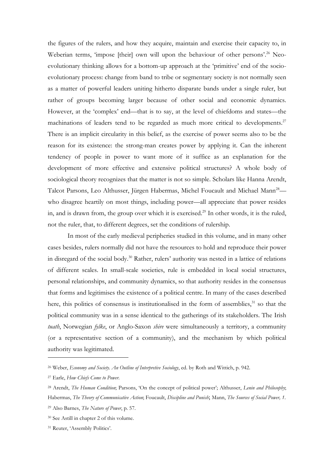the figures of the rulers, and how they acquire, maintain and exercise their capacity to, in Weberian terms, 'impose [their] own will upon the behaviour of other persons'.<sup>26</sup> Neoevolutionary thinking allows for a bottom-up approach at the 'primitive' end of the socioevolutionary process: change from band to tribe or segmentary society is not normally seen as a matter of powerful leaders uniting hitherto disparate bands under a single ruler, but rather of groups becoming larger because of other social and economic dynamics. However, at the 'complex' end—that is to say, at the level of chiefdoms and states—the machinations of leaders tend to be regarded as much more critical to developments.<sup>27</sup> There is an implicit circularity in this belief, as the exercise of power seems also to be the reason for its existence: the strong-man creates power by applying it. Can the inherent tendency of people in power to want more of it suffice as an explanation for the development of more effective and extensive political structures? A whole body of sociological theory recognizes that the matter is not so simple. Scholars like Hanna Arendt, Talcot Parsons, Leo Althusser, Jürgen Habermas, Michel Foucault and Michael Mann<sup>28</sup> who disagree heartily on most things, including power—all appreciate that power resides in, and is drawn from, the group over which it is exercised.<sup>29</sup> In other words, it is the ruled, not the ruler, that, to different degrees, set the conditions of rulership.

In most of the early medieval peripheries studied in this volume, and in many other cases besides, rulers normally did not have the resources to hold and reproduce their power in disregard of the social body. <sup>30</sup> Rather, rulers' authority was nested in a lattice of relations of different scales. In small-scale societies, rule is embedded in local social structures, personal relationships, and community dynamics, so that authority resides in the consensus that forms and legitimises the existence of a political centre. In many of the cases described here, this politics of consensus is institutionalised in the form of assemblies, $31$  so that the political community was in a sense identical to the gatherings of its stakeholders. The Irish *tuath*, Norwegian *fylke*, or Anglo-Saxon *shire* were simultaneously a territory, a community (or a representative section of a community), and the mechanism by which political authority was legitimated.

<sup>26</sup> Weber, *Economy and Society. An Outline of Interpretive Sociology*, ed. by Roth and Wittich, p. 942.

<sup>27</sup> Earle, *How Chiefs Come to Power*.

<sup>28</sup> Arendt, *The Human Condition*; Parsons, 'On the concept of political power'; Althusser, *Lenin and Philosophy*; Habermas, *The Theory of Communicative Action*; Foucault, *Discipline and Punish*; Mann, *The Sources of Social Power, 1*.

<sup>29</sup> Also Barnes, *The Nature of Power*, p. 57.

<sup>30</sup> See Astill in chapter 2 of this volume.

<sup>31</sup> Reuter, 'Assembly Politics'.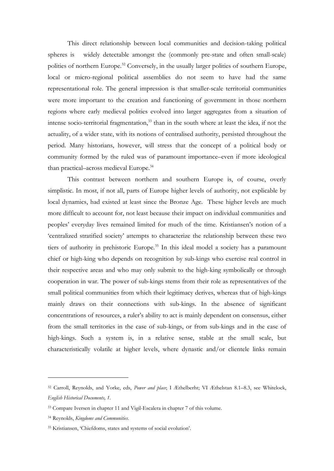This direct relationship between local communities and decision-taking political spheres is widely detectable amongst the (commonly pre-state and often small-scale) polities of northern Europe.<sup>32</sup> Conversely, in the usually larger polities of southern Europe, local or micro-regional political assemblies do not seem to have had the same representational role. The general impression is that smaller-scale territorial communities were more important to the creation and functioning of government in those northern regions where early medieval polities evolved into larger aggregates from a situation of intense socio-territorial fragmentation, <sup>33</sup> than in the south where at least the idea, if not the actuality, of a wider state, with its notions of centralised authority, persisted throughout the period. Many historians, however, will stress that the concept of a political body or community formed by the ruled was of paramount importance–even if more ideological than practical–across medieval Europe.<sup>34</sup>

This contrast between northern and southern Europe is, of course, overly simplistic. In most, if not all, parts of Europe higher levels of authority, not explicable by local dynamics, had existed at least since the Bronze Age. These higher levels are much more difficult to account for, not least because their impact on individual communities and peoples' everyday lives remained limited for much of the time. Kristiansen's notion of a 'centralized stratified society' attempts to characterize the relationship between these two tiers of authority in prehistoric Europe.<sup>35</sup> In this ideal model a society has a paramount chief or high-king who depends on recognition by sub-kings who exercise real control in their respective areas and who may only submit to the high-king symbolically or through cooperation in war. The power of sub-kings stems from their role as representatives of the small political communities from which their legitimacy derives, whereas that of high-kings mainly draws on their connections with sub-kings. In the absence of significant concentrations of resources, a ruler's ability to act is mainly dependent on consensus, either from the small territories in the case of sub-kings, or from sub-kings and in the case of high-kings. Such a system is, in a relative sense, stable at the small scale, but characteristically volatile at higher levels, where dynastic and/or clientele links remain

<sup>32</sup> Carroll, Reynolds, and Yorke, eds, *Power and place*; I Æthelberht; VI Æthelstan 8.1–8.3, see Whitelock, *English Historical Documents, 1*.

<sup>33</sup> Compare Iversen in chapter 11 and Vigil-Escalera in chapter 7 of this volume.

<sup>34</sup> Reynolds, *Kingdoms and Communities*.

<sup>35</sup> Kristiansen, 'Chiefdoms, states and systems of social evolution'.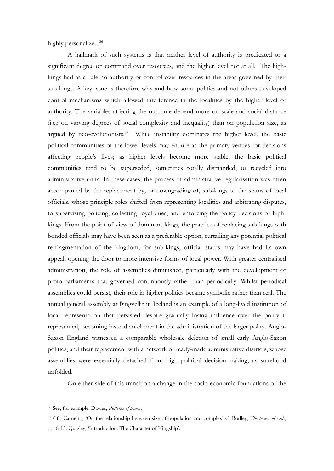highly personalized.<sup>36</sup>

A hallmark of such systems is that neither level of authority is predicated to a significant degree on command over resources, and the higher level not at all. The highkings had as a rule no authority or control over resources in the areas governed by their sub-kings. A key issue is therefore why and how some polities and not others developed control mechanisms which allowed interference in the localities by the higher level of authority. The variables affecting the outcome depend more on scale and social distance (i.e.: on varying degrees of social complexity and inequality) than on population size, as argued by neo-evolutionists. $37$  While instability dominates the higher level, the basic political communities of the lower levels may endure as the primary venues for decisions affecting people's lives; as higher levels become more stable, the basic political communities tend to be superseded, sometimes totally dismantled, or recycled into administrative units. In these cases, the process of administrative regularisation was often accompanied by the replacement by, or downgrading of, sub-kings to the status of local officials, whose principle roles shifted from representing localities and arbitrating disputes, to supervising policing, collecting royal dues, and enforcing the policy decisions of highkings. From the point of view of dominant kings, the practice of replacing sub-kings with bonded officials may have been seen as a preferable option, curtailing any potential political re-fragmentation of the kingdom; for sub-kings, official status may have had its own appeal, opening the door to more intensive forms of local power. With greater centralised administration, the role of assemblies diminished, particularly with the development of proto-parliaments that governed continuously rather than periodically. Whilst periodical assemblies could persist, their role in higher politics became symbolic rather than real. The annual general assembly at Þingvellir in Iceland is an example of a long-lived institution of local representation that persisted despite gradually losing influence over the polity it represented, becoming instead an element in the administration of the larger polity. Anglo-Saxon England witnessed a comparable wholesale deletion of small early Anglo-Saxon polities, and their replacement with a network of ready-made administrative districts, whose assemblies were essentially detached from high political decision-making, as statehood unfolded.

On either side of this transition a change in the socio-economic foundations of the

<sup>36</sup> See, for example, Davies, *Patterns of power*.

<sup>37</sup> Cfr. Carneiro, 'On the relationship between size of population and complexity'; Bodley, *The power of scale*, pp. 8-13; Quigley, 'Introduction: The Character of Kingship'.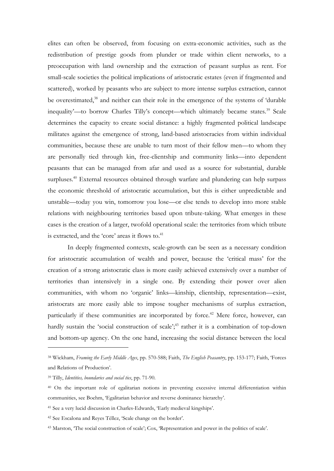elites can often be observed, from focusing on extra-economic activities, such as the redistribution of prestige goods from plunder or trade within client networks, to a preoccupation with land ownership and the extraction of peasant surplus as rent. For small-scale societies the political implications of aristocratic estates (even if fragmented and scattered), worked by peasants who are subject to more intense surplus extraction, cannot be overestimated,<sup>38</sup> and neither can their role in the emergence of the systems of 'durable inequality'—to borrow Charles Tilly's concept—which ultimately became states.<sup>39</sup> Scale determines the capacity to create social distance: a highly fragmented political landscape militates against the emergence of strong, land-based aristocracies from within individual communities, because these are unable to turn most of their fellow men––to whom they are personally tied through kin, free-clientship and community links––into dependent peasants that can be managed from afar and used as a source for substantial, durable surpluses.<sup>40</sup> External resources obtained through warfare and plundering can help surpass the economic threshold of aristocratic accumulation, but this is either unpredictable and unstable—today you win, tomorrow you lose—or else tends to develop into more stable relations with neighbouring territories based upon tribute-taking. What emerges in these cases is the creation of a larger, twofold operational scale: the territories from which tribute is extracted, and the 'core' areas it flows to.<sup>41</sup>

In deeply fragmented contexts, scale-growth can be seen as a necessary condition for aristocratic accumulation of wealth and power, because the 'critical mass' for the creation of a strong aristocratic class is more easily achieved extensively over a number of territories than intensively in a single one. By extending their power over alien communities, with whom no 'organic' links—kinship, clientship, representation—exist, aristocrats are more easily able to impose tougher mechanisms of surplus extraction, particularly if these communities are incorporated by force.<sup>42</sup> Mere force, however, can hardly sustain the 'social construction of scale';<sup>43</sup> rather it is a combination of top-down and bottom-up agency. On the one hand, increasing the social distance between the local

<sup>38</sup> Wickham, *Framing the Early Middle Ages*, pp. 570-588; Faith, *The English Peasantry*, pp. 153-177; Faith, 'Forces and Relations of Production'.

<sup>39</sup> Tilly, *Identities, boundaries and social ties*, pp. 71-90.

<sup>40</sup> On the important role of egalitarian notions in preventing excessive internal differentiation within communities, see Boehm, 'Egalitarian behavior and reverse dominance hierarchy'.

<sup>41</sup> See a very lucid discussion in Charles-Edwards, 'Early medieval kingships'.

<sup>42</sup> See Escalona and Reyes Téllez, 'Scale change on the border'.

<sup>43</sup> Marston, 'The social construction of scale'; Cox, 'Representation and power in the politics of scale'.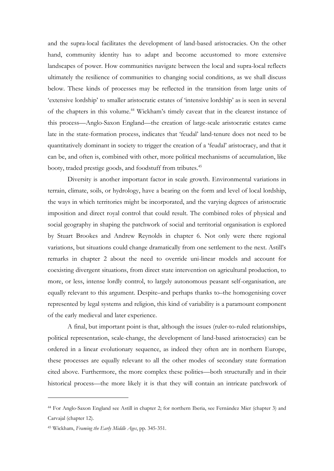and the supra-local facilitates the development of land-based aristocracies. On the other hand, community identity has to adapt and become accustomed to more extensive landscapes of power. How communities navigate between the local and supra-local reflects ultimately the resilience of communities to changing social conditions, as we shall discuss below. These kinds of processes may be reflected in the transition from large units of 'extensive lordship' to smaller aristocratic estates of 'intensive lordship' as is seen in several of the chapters in this volume. <sup>44</sup> Wickham's timely caveat that in the clearest instance of this process—Anglo-Saxon England—the creation of large-scale aristocratic estates came late in the state-formation process, indicates that 'feudal' land-tenure does not need to be quantitatively dominant in society to trigger the creation of a 'feudal' aristocracy, and that it can be, and often is, combined with other, more political mechanisms of accumulation, like booty, traded prestige goods, and foodstuff from tributes.<sup>45</sup>

Diversity is another important factor in scale growth. Environmental variations in terrain, climate, soils, or hydrology, have a bearing on the form and level of local lordship, the ways in which territories might be incorporated, and the varying degrees of aristocratic imposition and direct royal control that could result. The combined roles of physical and social geography in shaping the patchwork of social and territorial organisation is explored by Stuart Brookes and Andrew Reynolds in chapter 6. Not only were there regional variations, but situations could change dramatically from one settlement to the next. Astill's remarks in chapter 2 about the need to override uni-linear models and account for coexisting divergent situations, from direct state intervention on agricultural production, to more, or less, intense lordly control, to largely autonomous peasant self-organisation, are equally relevant to this argument. Despite–and perhaps thanks to–the homogenising cover represented by legal systems and religion, this kind of variability is a paramount component of the early medieval and later experience.

A final, but important point is that, although the issues (ruler-to-ruled relationships, political representation, scale-change, the development of land-based aristocracies) can be ordered in a linear evolutionary sequence, as indeed they often are in northern Europe, these processes are equally relevant to all the other modes of secondary state formation cited above. Furthermore, the more complex these polities––both structurally and in their historical process––the more likely it is that they will contain an intricate patchwork of

<sup>44</sup> For Anglo-Saxon England see Astill in chapter 2; for northern Iberia, see Fernández Mier (chapter 3) and Carvajal (chapter 12).

<sup>45</sup> Wickham, *Framing the Early Middle Ages*, pp. 345-351.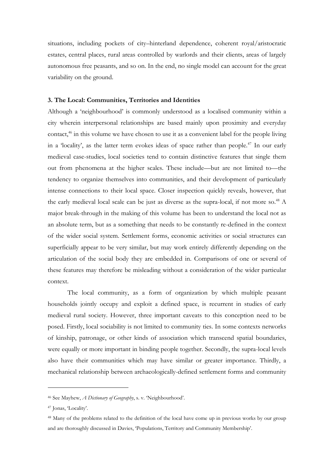situations, including pockets of city–hinterland dependence, coherent royal/aristocratic estates, central places, rural areas controlled by warlords and their clients, areas of largely autonomous free peasants, and so on. In the end, no single model can account for the great variability on the ground.

## **3. The Local: Communities, Territories and Identities**

Although a 'neighbourhood' is commonly understood as a localised community within a city wherein interpersonal relationships are based mainly upon proximity and everyday contact,<sup>46</sup> in this volume we have chosen to use it as a convenient label for the people living in a 'locality', as the latter term evokes ideas of space rather than people.<sup>47</sup> In our early medieval case-studies, local societies tend to contain distinctive features that single them out from phenomena at the higher scales. These include—but are not limited to—the tendency to organize themselves into communities, and their development of particularly intense connections to their local space. Closer inspection quickly reveals, however, that the early medieval local scale can be just as diverse as the supra-local, if not more so.<sup>48</sup> A major break-through in the making of this volume has been to understand the local not as an absolute term, but as a something that needs to be constantly re-defined in the context of the wider social system. Settlement forms, economic activities or social structures can superficially appear to be very similar, but may work entirely differently depending on the articulation of the social body they are embedded in. Comparisons of one or several of these features may therefore be misleading without a consideration of the wider particular context.

The local community, as a form of organization by which multiple peasant households jointly occupy and exploit a defined space, is recurrent in studies of early medieval rural society. However, three important caveats to this conception need to be posed. Firstly, local sociability is not limited to community ties. In some contexts networks of kinship, patronage, or other kinds of association which transcend spatial boundaries, were equally or more important in binding people together. Secondly, the supra-local levels also have their communities which may have similar or greater importance. Thirdly, a mechanical relationship between archaeologically-defined settlement forms and community

<sup>46</sup> See Mayhew, *A Dictionary of Geography*, s. v. 'Neighbourhood'.

<sup>47</sup> Jonas, 'Locality'.

<sup>&</sup>lt;sup>48</sup> Many of the problems related to the definition of the local have come up in previous works by our group and are thoroughly discussed in Davies, 'Populations, Territory and Community Membership'.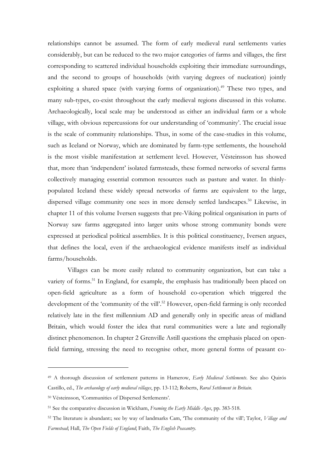relationships cannot be assumed. The form of early medieval rural settlements varies considerably, but can be reduced to the two major categories of farms and villages, the first corresponding to scattered individual households exploiting their immediate surroundings, and the second to groups of households (with varying degrees of nucleation) jointly exploiting a shared space (with varying forms of organization).<sup>49</sup> These two types, and many sub-types, co-exist throughout the early medieval regions discussed in this volume. Archaeologically, local scale may be understood as either an individual farm or a whole village, with obvious repercussions for our understanding of 'community'. The crucial issue is the scale of community relationships. Thus, in some of the case-studies in this volume, such as Iceland or Norway, which are dominated by farm-type settlements, the household is the most visible manifestation at settlement level. However, Vésteinsson has showed that, more than 'independent' isolated farmsteads, these formed networks of several farms collectively managing essential common resources such as pasture and water. In thinlypopulated Iceland these widely spread networks of farms are equivalent to the large, dispersed village community one sees in more densely settled landscapes.<sup>50</sup> Likewise, in chapter 11 of this volume Iversen suggests that pre-Viking political organisation in parts of Norway saw farms aggregated into larger units whose strong community bonds were expressed at periodical political assemblies. It is this political constituency, Iversen argues, that defines the local, even if the archaeological evidence manifests itself as individual farms/households.

Villages can be more easily related to community organization, but can take a variety of forms.<sup>51</sup> In England, for example, the emphasis has traditionally been placed on open-field agriculture as a form of household co-operation which triggered the development of the 'community of the vill'.<sup>52</sup> However, open-field farming is only recorded relatively late in the first millennium AD and generally only in specific areas of midland Britain, which would foster the idea that rural communities were a late and regionally distinct phenomenon. In chapter 2 Grenville Astill questions the emphasis placed on openfield farming, stressing the need to recognise other, more general forms of peasant co-

1

<sup>49</sup> A thorough discussion of settlement patterns in Hamerow, *Early Medieval Settlements*. See also Quirós Castillo, ed., *The archaeology of early medieval villages*, pp. 13-112; Roberts, *Rural Settlement in Britain*.

<sup>50</sup> Vésteinsson, 'Communities of Dispersed Settlements'.

<sup>51</sup> See the comparative discussion in Wickham, *Framing the Early Middle Ages*, pp. 383-518.

<sup>52</sup> The literature is abundant:; see by way of landmarks Cam, 'The community of the vill'; Taylor, *Village and Farmstead*; Hall, *The Open Fields of England*; Faith, *The English Peasantry*.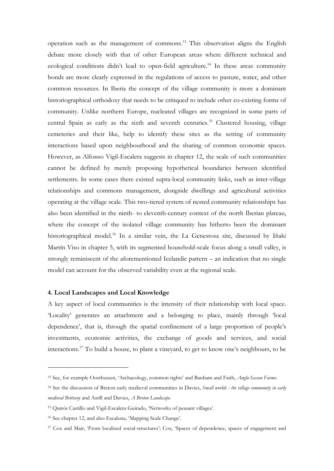operation such as the management of commons. <sup>53</sup> This observation aligns the English debate more closely with that of other European areas where different technical and ecological conditions didn't lead to open-field agriculture.<sup>54</sup> In these areas community bonds are more clearly expressed in the regulations of access to pasture, water, and other common resources. In Iberia the concept of the village community is more a dominant historiographical orthodoxy that needs to be critiqued to include other co-existing forms of community. Unlike northern Europe, nucleated villages are recognized in some parts of central Spain as early as the sixth and seventh centuries.<sup>55</sup> Clustered housing, village cemeteries and their like, help to identify these sites as the setting of community interactions based upon neighbourhood and the sharing of common economic spaces. However, as Alfonso Vigil-Escalera suggests in chapter 12, the scale of such communities cannot be defined by merely proposing hypothetical boundaries between identified settlements. In some cases there existed supra-local community links, such as inter-village relationships and commons management, alongside dwellings and agricultural activities operating at the village scale. This two-tiered system of nested community relationships has also been identified in the ninth- to eleventh-century context of the north Iberian plateau, where the concept of the isolated village community has hitherto been the dominant historiographical model.<sup>56</sup> In a similar vein, the La Genestosa site, discussed by Iñaki Martín Viso in chapter 5, with its segmented household-scale focus along a small valley, is strongly reminiscent of the aforementioned Icelandic pattern – an indication that no single model can account for the observed variability even at the regional scale.

# **4. Local Landscapes and Local Knowledge**

1

A key aspect of local communities is the intensity of their relationship with local space. 'Locality' generates an attachment and a belonging to place, mainly through 'local dependence', that is, through the spatial confinement of a large proportion of people's investments, economic activities, the exchange of goods and services, and social interactions.<sup>57</sup> To build a house, to plant a vineyard, to get to know one's neighbours, to be

<sup>53</sup> See, for example Oosthuizen, 'Archaeology, common rights' and Banham and Faith, *Anglo-Saxon Farms*.

<sup>54</sup> See the discussion of Breton early medieval communities in Davies, *Small worlds : the village community in early medieval Brittany* and Astill and Davies, *A Breton Landscape*.

<sup>55</sup> Quirós Castillo and Vigil-Escalera Guirado, 'Networks of peasant villages'.

<sup>56</sup> See chapter 12, and also Escalona, 'Mapping Scale Change'.

<sup>57</sup> Cox and Mair, 'From localized social-structures'; Cox, 'Spaces of dependence, spaces of engagement and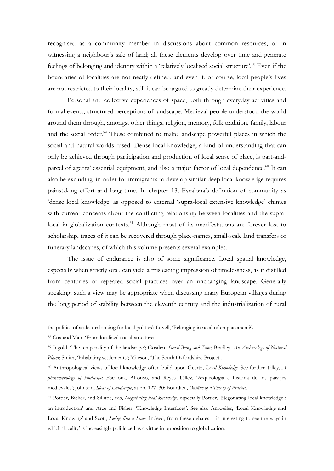recognised as a community member in discussions about common resources, or in witnessing a neighbour's sale of land; all these elements develop over time and generate feelings of belonging and identity within a 'relatively localised social structure'.<sup>58</sup> Even if the boundaries of localities are not neatly defined, and even if, of course, local people's lives are not restricted to their locality, still it can be argued to greatly determine their experience.

Personal and collective experiences of space, both through everyday activities and formal events, structured perceptions of landscape. Medieval people understood the world around them through, amongst other things, religion, memory, folk tradition, family, labour and the social order.<sup>59</sup> These combined to make landscape powerful places in which the social and natural worlds fused. Dense local knowledge, a kind of understanding that can only be achieved through participation and production of local sense of place, is part-andparcel of agents' essential equipment, and also a major factor of local dependence.<sup>60</sup> It can also be excluding: in order for immigrants to develop similar deep local knowledge requires painstaking effort and long time. In chapter 13, Escalona's definition of community as 'dense local knowledge' as opposed to external 'supra-local extensive knowledge' chimes with current concerns about the conflicting relationship between localities and the supralocal in globalization contexts.<sup>61</sup> Although most of its manifestations are forever lost to scholarship, traces of it can be recovered through place-names, small-scale land transfers or funerary landscapes, of which this volume presents several examples.

The issue of endurance is also of some significance. Local spatial knowledge, especially when strictly oral, can yield a misleading impression of timelessness, as if distilled from centuries of repeated social practices over an unchanging landscape. Generally speaking, such a view may be appropriate when discussing many European villages during the long period of stability between the eleventh century and the industrialization of rural

the politics of scale, or: looking for local politics'; Lovell, 'Belonging in need of emplacement?'.

<sup>58</sup> Cox and Mair, 'From localized social-structures'.

<sup>59</sup> Ingold, 'The temporality of the landscape'; Gosden, *Social Being and Time*; Bradley, *An Archaeology of Natural Places*; Smith, 'Inhabiting settlements'; Mileson, 'The South Oxfordshire Project'.

<sup>60</sup> Anthropological views of local knowledge often build upon Geertz, *Local Knowledge*. See further Tilley, *A phenomenology of landscape*; Escalona, Alfonso, and Reyes Téllez, 'Arqueología e historia de los paisajes medievales'; Johnson, *Ideas of Landscape*, at pp. 127–30; Bourdieu, *Outline of a Theory of Practice*.

<sup>61</sup> Pottier, Bicker, and Sillitoe, eds, *Negotiating local knowledge*, especially Pottier, 'Negotiating local knowledge : an introduction' and Arce and Fisher, 'Knowledge Interfaces'. See also Antweiler, 'Local Knowledge and Local Knowing' and Scott, *Seeing like a State*. Indeed, from these debates it is interesting to see the ways in which 'locality' is increasingly politicized as a virtue in opposition to globalization.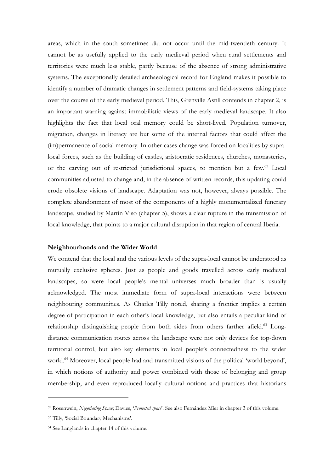areas, which in the south sometimes did not occur until the mid-twentieth century. It cannot be as usefully applied to the early medieval period when rural settlements and territories were much less stable, partly because of the absence of strong administrative systems. The exceptionally detailed archaeological record for England makes it possible to identify a number of dramatic changes in settlement patterns and field-systems taking place over the course of the early medieval period. This, Grenville Astill contends in chapter 2, is an important warning against immobilistic views of the early medieval landscape. It also highlights the fact that local oral memory could be short-lived. Population turnover, migration, changes in literacy are but some of the internal factors that could affect the (im)permanence of social memory. In other cases change was forced on localities by supralocal forces, such as the building of castles, aristocratic residences, churches, monasteries, or the carving out of restricted jurisdictional spaces, to mention but a few.<sup>62</sup> Local communities adjusted to change and, in the absence of written records, this updating could erode obsolete visions of landscape. Adaptation was not, however, always possible. The complete abandonment of most of the components of a highly monumentalized funerary landscape, studied by Martín Viso (chapter 5), shows a clear rupture in the transmission of local knowledge, that points to a major cultural disruption in that region of central Iberia.

# **Neighbourhoods and the Wider World**

We contend that the local and the various levels of the supra-local cannot be understood as mutually exclusive spheres. Just as people and goods travelled across early medieval landscapes, so were local people's mental universes much broader than is usually acknowledged. The most immediate form of supra-local interactions were between neighbouring communities. As Charles Tilly noted, sharing a frontier implies a certain degree of participation in each other's local knowledge, but also entails a peculiar kind of relationship distinguishing people from both sides from others farther afield.<sup>63</sup> Longdistance communication routes across the landscape were not only devices for top-down territorial control, but also key elements in local people's connectedness to the wider world.<sup>64</sup> Moreover, local people had and transmitted visions of the political 'world beyond', in which notions of authority and power combined with those of belonging and group membership, and even reproduced locally cultural notions and practices that historians

<sup>62</sup> Rosenwein, *Negotiating Space*; Davies, '*Protected space*'. See also Fernández Mier in chapter 3 of this volume.

<sup>63</sup> Tilly, 'Social Boundary Mechanisms'.

<sup>64</sup> See Langlands in chapter 14 of this volume.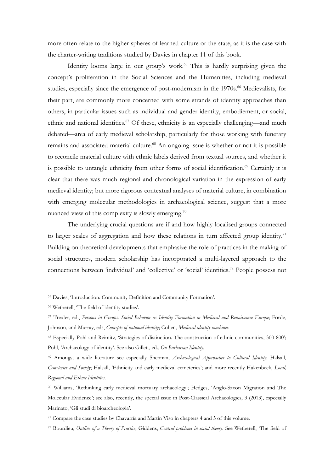more often relate to the higher spheres of learned culture or the state, as it is the case with the charter-writing traditions studied by Davies in chapter 11 of this book.

Identity looms large in our group's work.<sup>65</sup> This is hardly surprising given the concept's proliferation in the Social Sciences and the Humanities, including medieval studies, especially since the emergence of post-modernism in the 1970s.<sup>66</sup> Medievalists, for their part, are commonly more concerned with some strands of identity approaches than others, in particular issues such as individual and gender identity, embodiement, or social, ethnic and national identities.<sup>67</sup> Of these, ethnicity is an especially challenging—and much debated—area of early medieval scholarship, particularly for those working with funerary remains and associated material culture.<sup>68</sup> An ongoing issue is whether or not it is possible to reconcile material culture with ethnic labels derived from textual sources, and whether it is possible to untangle ethnicity from other forms of social identification.<sup>69</sup> Certainly it is clear that there was much regional and chronological variation in the expression of early medieval identity; but more rigorous contextual analyses of material culture, in combination with emerging molecular methodologies in archaeological science, suggest that a more nuanced view of this complexity is slowly emerging.<sup>70</sup>

The underlying crucial questions are if and how highly localised groups connected to larger scales of aggregation and how these relations in turn affected group identity.<sup>71</sup> Building on theoretical developments that emphasize the role of practices in the making of social structures, modern scholarship has incorporated a multi-layered approach to the connections between 'individual' and 'collective' or 'social' identities.<sup>72</sup> People possess not

<sup>65</sup> Davies, 'Introduction: Community Definition and Community Formation'.

<sup>66</sup> Wetherell, 'The field of identity studies'.

<sup>67</sup> Trexler, ed., *Persons in Groups. Social Behavior as Identity Formation in Medieval and Renaissance Europe*; Forde, Johnson, and Murray, eds, *Concepts of national identity*; Cohen, *Medieval identity machines*.

<sup>68</sup> Especially Pohl and Reimitz, 'Strategies of distinction. The construction of ethnic communities, 300-800'; Pohl, 'Archaeology of identity'. See also Gillett, ed., *On Barbarian Identity*.

<sup>69</sup> Amongst a wide literature see especially Shennan, *Archaeological Approaches to Cultural Identity*; Halsall, *Cemeteries and Society*; Halsall, 'Ethnicity and early medieval cemeteries'; and more recently Hakenbeck, *Local, Regional and Ethnic Identities*.

<sup>70</sup> Williams, 'Rethinking early medieval mortuary archaeology'; Hedges, 'Anglo-Saxon Migration and The Molecular Evidence'; see also, recently, the special issue in Post-Classical Archaeologies, 3 (2013), especially Marinato, 'Gli studi di bioarcheologia'.

<sup>71</sup> Compare the case studies by Chavarría and Martín Viso in chapters 4 and 5 of this volume.

<sup>72</sup> Bourdieu, *Outline of a Theory of Practice*; Giddens, *Central problems in social theory*. See Wetherell, 'The field of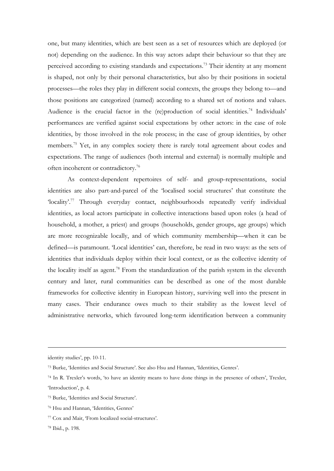one, but many identities, which are best seen as a set of resources which are deployed (or not) depending on the audience. In this way actors adapt their behaviour so that they are perceived according to existing standards and expectations.<sup>73</sup> Their identity at any moment is shaped, not only by their personal characteristics, but also by their positions in societal processes—the roles they play in different social contexts, the groups they belong to—and those positions are categorized (named) according to a shared set of notions and values. Audience is the crucial factor in the (re)production of social identities.<sup>74</sup> Individuals' performances are verified against social expectations by other actors: in the case of role identities, by those involved in the role process; in the case of group identities, by other members.<sup>75</sup> Yet, in any complex society there is rarely total agreement about codes and expectations. The range of audiences (both internal and external) is normally multiple and often incoherent or contradictory. 76

As context-dependent repertoires of self- and group-representations, social identities are also part-and-parcel of the 'localised social structures' that constitute the 'locality'.<sup>77</sup> Through everyday contact, neighbourhoods repeatedly verify individual identities, as local actors participate in collective interactions based upon roles (a head of household, a mother, a priest) and groups (households, gender groups, age groups) which are more recognizable locally, and of which community membership—when it can be defined—is paramount. 'Local identities' can, therefore, be read in two ways: as the sets of identities that individuals deploy within their local context, or as the collective identity of the locality itself as agent.<sup>78</sup> From the standardization of the parish system in the eleventh century and later, rural communities can be described as one of the most durable frameworks for collective identity in European history, surviving well into the present in many cases. Their endurance owes much to their stability as the lowest level of administrative networks, which favoured long-term identification between a community

identity studies', pp. 10-11.

<sup>73</sup> Burke, 'Identities and Social Structure'. See also Hsu and Hannan, 'Identities, Genres'.

<sup>74</sup> In R. Trexler's words, 'to have an identity means to have done things in the presence of others', Trexler, 'Introduction', p. 4.

<sup>75</sup> Burke, 'Identities and Social Structure'.

<sup>76</sup> Hsu and Hannan, 'Identities, Genres'

<sup>77</sup> Cox and Mair, 'From localized social-structures'.

<sup>78</sup> Ibid., p. 198.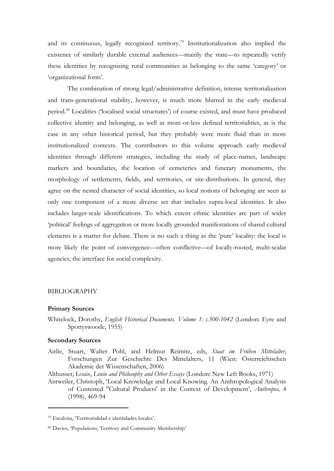and its continuous, legally recognized territory. <sup>79</sup> Institutionalization also implied the existence of similarly durable external audiences—mainly the state—to repeatedly verify these identities by recognizing rural communities as belonging to the same 'category' or 'organizational form'.

The combination of strong legal/administrative definition, intense territorialization and trans-generational stability, however, is much more blurred in the early medieval period.<sup>80</sup> Localities ('localised social structures') of course existed, and must have produced collective identity and belonging, as well as more-or-less defined territorialities, as is the case in any other historical period, but they probably were more fluid than in more institutionalized contexts. The contributors to this volume approach early medieval identities through different strategies, including the study of place-names, landscape markers and boundaries, the location of cemeteries and funerary monuments, the morphology of settlements, fields, and territories, or site-distributions. In general, they agree on the nested character of social identities, so local notions of belonging are seen as only one component of a more diverse set that includes supra-local identities. It also includes larger-scale identifications. To which extent ethnic identities are part of wider 'political' feelings of aggregation or more locally grounded manifestations of shared cultural elements is a matter for debate. There is no such a thing as the 'pure' locality: the local is more likely the point of convergence—often conflictive—of locally-rooted, multi-scalar agencies; the interface for social complexity.

### BIBLIOGRAPHY

### **Primary Sources**

Whitelock, Dorothy, *English Historical Documents. Volume 1: c.500-1042* (London: Eyre and Spottyswoode, 1955)

#### **Secondary Sources**

-

Airlie, Stuart, Walter Pohl, and Helmut Reimitz, eds, *Staat im Frühen Mittelalter*, Forschungen Zur Geschichte Des Mittelalters, 11 (Wien: Österreichischen Akademie der Wissenschaften, 2006)

Althusser, Louis, *Lenin and Philosophy and Other Essays* (London: New Left Books, 1971)

Antweiler, Christoph, 'Local Knowledge and Local Knowing. An Anthropological Analysis of Contested "Cultural Products' in the Context of Development', *Anthropos,* 4 (1998), 469-94

<sup>79</sup> Escalona, 'Territorialidad e identidades locales'.

<sup>80</sup> Davies, 'Populations, Territory and Community Membership'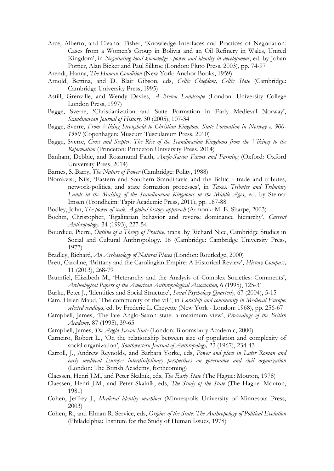- Arce, Alberto, and Eleanor Fisher, 'Knowledge Interfaces and Practices of Negotiation: Cases from a Women's Group in Bolivia and an Oil Refinery in Wales, United Kingdom', in *Negotiating local knowledge : power and identity in development*, ed. by Johan Pottier, Alan Bicker and Paul Sillitoe (London: Pluto Press, 2003), pp. 74-97
- Arendt, Hanna, *The Human Condition* (New York: Anchor Books, 1959)
- Arnold, Bettina, and D. Blair Gibson, eds, *Celtic Chiefdom, Celtic State* (Cambridge: Cambridge University Press, 1995)
- Astill, Grenville, and Wendy Davies, *A Breton Landscape* (London: University College London Press, 1997)
- Bagge, Sverre, 'Christianization and State Formation in Early Medieval Norway', *Scandinavian Journal of History,* 30 (2005), 107-34
- Bagge, Sverre, *From Viking Stronghold to Christian Kingdom. State Formation in Norway c. 900- 1350* (Copenhagen: Museum Tusculanum Press, 2010)
- Bagge, Sverre, *Cross and Scepter. The Rise of the Scandinavian Kingdoms from the Vikings to the Reformation* (Princeton: Princeton University Press, 2014)
- Banham, Debbie, and Rosamund Faith, *Anglo-Saxon Farms and Farming* (Oxford: Oxford University Press, 2014)
- Barnes, S. Barry, *The Nature of Power* (Cambridge: Polity, 1988)
- Blomkvist, Nils, 'Eastern and Southern Scandinavia and the Baltic trade and tributes, network-polities, and state formation processes', in *Taxes, Tributes and Tributary Lands in the Making of the Scandinavian Kingdoms in the Middle Ages*, ed. by Steinar Imsen (Trondheim: Tapir Academic Press, 2011), pp. 167-88
- Bodley, John, *The power of scale. A global history approach* (Armonk: M. E. Sharpe, 2003)
- Boehm, Christopher, 'Egalitarian behavior and reverse dominance hierarchy', *Current Anthropology,* 34 (1993), 227-54
- Bourdieu, Pierre, *Outline of a Theory of Practice*, trans. by Richard Nice, Cambridge Studies in Social and Cultural Anthropology. 16 (Cambridge: Cambridge University Press, 1977)
- Bradley, Richard, *An Archaeology of Natural Places* (London: Routledge, 2000)
- Brett, Caroline, 'Brittany and the Carolingian Empire: A Historical Review', *History Compass,* 11 (2013), 268-79
- Brumfiel, Elizabeth M., 'Heterarchy and the Analysis of Complex Societies: Comments', *Archeological Papers of the American Anthropological Association,* 6 (1995), 125-31
- Burke, Peter J., 'Identities and Social Structure', *Social Psychology Quarterly,* 67 (2004), 5-15
- Cam, Helen Maud, 'The community of the vill', in *Lordship and community in Medieval Europe: selected readings*, ed. by Frederic L. Cheyette (New York - London: 1968), pp. 256-67
- Campbell, James, 'The late Anglo-Saxon state: a maximum view', *Proceedings of the British Academy,* 87 (1995), 39-65
- Campbell, James, *The Anglo-Saxon State* (London: Bloomsbury Academic, 2000)
- Carneiro, Robert L., 'On the relationship between size of population and complexity of social organization', *Southwestern Journal of Anthropology,* 23 (1967), 234-43
- Carroll, J., Andrew Reynolds, and Barbara Yorke, eds, *Power and place in Later Roman and early medieval Europe: interdisciplinary perspectives on governance and civil organization* (London: The British Academy, forthcoming)
- Claessen, Henri J.M., and Peter Skalník, eds, *The Early State* (The Hague: Mouton, 1978)
- Claessen, Henri J.M., and Peter Skalník, eds, *The Study of the State* (The Hague: Mouton, 1981)
- Cohen, Jeffrey J., *Medieval identity machines* (Minneapolis University of Minnesota Press, 2003)
- Cohen, R., and Elman R. Service, eds, *Origins of the State: The Anthropology of Political Evolution* (Philadelphia: Institute for the Study of Human Issues, 1978)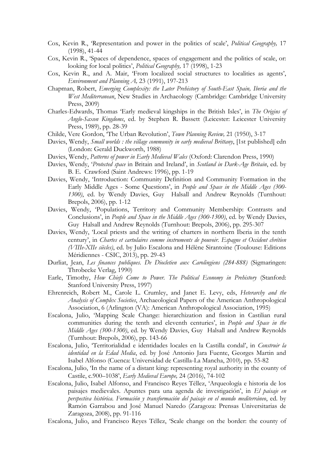- Cox, Kevin R., 'Representation and power in the politics of scale', *Political Geography,* 17 (1998), 41-44
- Cox, Kevin R., 'Spaces of dependence, spaces of engagement and the politics of scale, or: looking for local politics', *Political Geography,* 17 (1998), 1-23
- Cox, Kevin R., and A. Mair, 'From localized social structures to localities as agents', *Environment and Planning A,* 23 (1991), 197-213
- Chapman, Robert, *Emerging Complexity: the Later Prehistory of South-East Spain, Iberia and the West Mediterranean*, New Studies in Archaeology (Cambridge: Cambridge University Press, 2009)
- Charles-Edwards, Thomas 'Early medieval kingships in the British Isles', in *The Origins of Anglo-Saxon Kingdoms*, ed. by Stephen R. Bassett (Leicester: Leicester University Press, 1989), pp. 28-39
- Childe, Vere Gordon, 'The Urban Revolution', *Town Planning Review,* 21 (1950), 3-17
- Davies, Wendy, *Small worlds : the village community in early medieval Brittany*, [1st published] edn (London: Gerald Duckworth, 1988)
- Davies, Wendy, *Patterns of power in Early Medieval Wales* (Oxford: Clarendon Press, 1990)
- Davies, Wendy, '*Protected space* in Britain and Ireland', in *Scotland in Dark-Age Britain*, ed. by B. E. Crawford (Saint Andrews: 1996), pp. 1-19
- Davies, Wendy, 'Introduction: Community Definition and Community Formation in the Early Middle Ages - Some Questions', in *People and Space in the Middle Ages (300- 1300)*, ed. by Wendy Davies, Guy Halsall and Andrew Reynolds (Turnhout: Brepols, 2006), pp. 1-12
- Davies, Wendy, 'Populations, Territory and Community Membership: Contrasts and Conclusions', in *People and Space in the Middle Ages (300-1300)*, ed. by Wendy Davies, Guy Halsall and Andrew Reynolds (Turnhout: Brepols, 2006), pp. 295-307
- Davies, Wendy, 'Local priests and the writing of charters in northern Iberia in the tenth century', in *Chartes et cartulaires comme instruments de pouvoir. Espagne et Occident chrétien (VIIIe-XIIe siècles)*, ed. by Julio Escalona and Hélène Sirantoine (Toulouse: Editions Méridiennes - CSIC, 2013), pp. 29-43
- Durliat, Jean, *Les finances publiques. De Diocletien aux Carolingiens (284-888)* (Sigmaringen: Throbecke Verlag, 1990)
- Earle, Timothy, *How Chiefs Come to Power. The Political Economy in Prehistory* (Stanford: Stanford University Press, 1997)
- Ehrenreich, Robert M., Carole L. Crumley, and Janet E. Levy, eds, *Heterarchy and the Analysis of Complex Societies*, Archaeological Papers of the American Anthropological Association, 6 (Arlington (VA): American Anthropological Association, 1995)
- Escalona, Julio, 'Mapping Scale Change: hierarchization and fission in Castilian rural communities during the tenth and eleventh centuries', in *People and Space in the Middle Ages (300-1300)*, ed. by Wendy Davies, Guy Halsall and Andrew Reynolds (Turnhout: Brepols, 2006), pp. 143-66
- Escalona, Julio, 'Territorialidad e identidades locales en la Castilla condal', in *Construir la identidad en la Edad Media*, ed. by José Antonio Jara Fuente, Georges Martin and Isabel Alfonso (Cuenca: Universidad de Castilla-La Mancha, 2010), pp. 55-82
- Escalona, Julio, 'In the name of a distant king: representing royal authority in the county of Castile, c.900–1038', *Early Medieval Europe,* 24 (2016), 74-102
- Escalona, Julio, Isabel Alfonso, and Francisco Reyes Téllez, 'Arqueología e historia de los paisajes medievales. Apuntes para una agenda de investigación', in *El paisaje en perspectiva histórica. Formación y transformación del paisaje en el mundo mediterráneo*, ed. by Ramón Garrabou and José Manuel Naredo (Zaragoza: Prensas Universitarias de Zaragoza, 2008), pp. 91-116

Escalona, Julio, and Francisco Reyes Téllez, 'Scale change on the border: the county of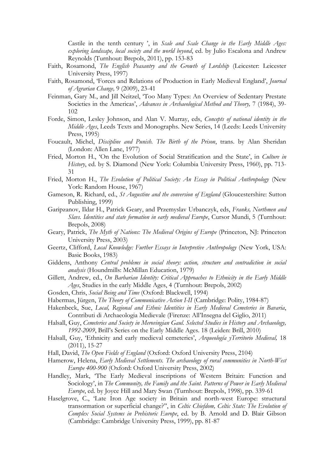Castile in the tenth century ', in *Scale and Scale Change in the Early Middle Ages: exploring landscape, local society and the world beyond*, ed. by Julio Escalona and Andrew Reynolds (Turnhout: Brepols, 2011), pp. 153-83

- Faith, Rosamond, *The English Peasantry and the Growth of Lordship* (Leicester: Leicester University Press, 1997)
- Faith, Rosamond, 'Forces and Relations of Production in Early Medieval England', *Journal of Agrarian Change,* 9 (2009), 23-41
- Feinman, Gary M., and Jill Neitzel, 'Too Many Types: An Overview of Sedentary Prestate Societies in the Americas', *Advances in Archaeological Method and Theory,* 7 (1984), 39- 102
- Forde, Simon, Lesley Johnson, and Alan V. Murray, eds, *Concepts of national identity in the Middle Ages*, Leeds Texts and Monographs. New Series, 14 (Leeds: Leeds University Press, 1995)
- Foucault, Michel, *Discipline and Punish. The Birth of the Prison*, trans. by Alan Sheridan (London: Allen Lane, 1977)
- Fried, Morton H., 'On the Evolution of Social Stratification and the State', in *Culture in History*, ed. by S. Diamond (New York: Columbia University Press, 1960), pp. 713- 31
- Fried, Morton H., *The Evolution of Political Society: An Essay in Political Anthropology* (New York: Random House, 1967)
- Gameson, R. Richard, ed., *St Augustine and the conversion of England* (Gloucestershire: Sutton Publishing, 1999)
- Garipzanov, Ildar H., Patrick Geary, and Przemyslav Urbanczyk, eds, *Franks, Northmen and Slavs. Identities and state formation in early medieval Europe*, Cursor Mundi, 5 (Turnhout: Brepols, 2008)
- Geary, Patrick, *The Myth of Nations: The Medieval Origins of Europe* (Princeton, NJ: Princeton University Press, 2003)
- Geertz, Clifford, *Local Knowledge: Further Essays in Interpretive Anthropology* (New York, USA: Basic Books, 1983)
- Giddens, Anthony *Central problems in social theory: action, structure and contradiction in social analysis* (Houndmills: McMillan Education, 1979)
- Gillett, Andrew, ed., *On Barbarian Identity: Critical Approaches to Ethnicity in the Early Middle Ages*, Studies in the early Middle Ages, 4 (Turnhout: Brepols, 2002)
- Gosden, Chris, *Social Being and Time* (Oxford: Blackwell, 1994)
- Habermas, Jürgen, *The Theory of Communicative Action I-II* (Cambridge: Polity, 1984-87)
- Hakenbeck, Sue, *Local, Regional and Ethnic Identities in Early Medieval Cemeteries in Bavaria*, Contributi di Archaeologia Medievale (Firenze: All'Insegna del Giglio, 2011)
- Halsall, Guy, *Cemeteries and Society in Merovingian Gaul. Selected Studies in History and Archaeology, 1992-2009*, Brill's Series on the Early Middle Ages. 18 (Leiden: Brill, 2010)
- Halsall, Guy, 'Ethnicity and early medieval cemeteries', *Arqueología yTerritorio Medieval,* 18 (2011), 15-27
- Hall, David, *The Open Fields of England* (Oxford: Oxford University Press, 2104)
- Hamerow, Helena, *Early Medieval Settlements. The archaeology of rural communities in North-West Europe 400-900* (Oxford: Oxford University Press, 2002)
- Handley, Mark, 'The Early Medieval inscriptions of Western Britain: Function and Sociology', in *The Community, the Family and the Saint. Patterns of Power in Early Medieval Europe*, ed. by Joyce Hill and Mary Swan (Turnhout: Brepols, 1998), pp. 339-61
- Haselgrove, C., 'Late Iron Age society in Britain and north-west Europe: structural transormation or superficial change?'', in *Celtic Chiefdom, Celtic State: The Evolution of Complex Social Systems in Prehistoric Europe*, ed. by B. Arnold and D. Blair Gibson (Cambridge: Cambridge University Press, 1999), pp. 81-87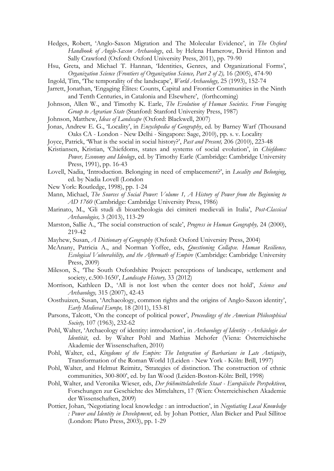- Hedges, Robert, 'Anglo-Saxon Migration and The Molecular Evidence', in *The Oxford Handbook of Anglo-Saxon Archaeology*, ed. by Helena Hamerow, David Hinton and Sally Crawford (Oxford: Oxford University Press, 2011), pp. 79-90
- Hsu, Greta, and Michael T. Hannan, 'Identities, Genres, and Organizational Forms', *Organization Science (Frontiers of Organization Science, Part 2 of 2),* 16 (2005), 474-90
- Ingold, Tim, 'The temporality of the landscape', *World Archaeology,* 25 (1993), 152-74
- Jarrett, Jonathan, 'Engaging Élites: Counts, Capital and Frontier Communities in the Ninth and Tenth Centuries, in Catalonia and Elsewhere', (forthcoming)
- Johnson, Allen W., and Timothy K. Earle, *The Evolution of Human Societies. From Foraging Group to Agrarian State* (Stanford: Stanford University Press, 1987)

Johnson, Matthew, *Ideas of Landscape* (Oxford: Blackwell, 2007)

- Jonas, Andrew E. G., 'Locality', in *Encyclopedia of Geography*, ed. by Barney Warf (Thousand Oaks CA - London - New Delhi - Singapore: Sage, 2010), pp. s. v. Locality
- Joyce, Patrick, 'What is the social in social history?', *Past and Present,* 206 (2010), 223-48
- Kristiansen, Kristian, 'Chiefdoms, states and systems of social evolution', in *Chiefdoms: Power, Economy and Ideology*, ed. by Timothy Earle (Cambridge: Cambridge University Press, 1991), pp. 16-43
- Lovell, Nadia, 'Introduction. Belonging in need of emplacement?', in *Locality and Belonging*, ed. by Nadia Lovell (London
- New York: Routledge, 1998), pp. 1-24
- Mann, Michael, *The Sources of Social Power: Volume 1, A History of Power from the Beginning to AD 1760* (Cambridge: Cambridge University Press, 1986)
- Marinato, M., 'Gli studi di bioarcheologia dei cimiteri medievali in Italia', *Post-Classical Archaeologies,* 3 (2013), 113-29
- Marston, Sallie A., 'The social construction of scale', *Progress in Human Geography,* 24 (2000), 219-42
- Mayhew, Susan, *A Dictionary of Geography* (Oxford: Oxford Universiry Press, 2004)
- McAnany, Patricia A., and Norman Yoffee, eds, *Questioning Collapse. Human Resilience, Ecological Vulnerability, and the Aftermath of Empire* (Cambridge: Cambridge University Press, 2009)
- Mileson, S., 'The South Oxfordshire Project: perceptions of landscape, settlement and society, c.500-1650', *Landscape History,* 33 (2012)
- Morrison, Kathleen D., 'All is not lost when the center does not hold', *Science and Archaeology,* 315 (2007), 42-43
- Oosthuizen, Susan, 'Archaeology, common rights and the origins of Anglo-Saxon identity', *Early Medieval Europe,* 18 (2011), 153-81
- Parsons, Talcott, 'On the concept of political power', *Proceedings of the American Philosophical Society,* 107 (1963), 232-62
- Pohl, Walter, 'Archaeology of identity: introduction', in *Archaeology of Identity - Archäologie der Identität*, ed. by Walter Pohl and Mathias Mehofer (Viena: Österreichische Akademie der Wissenschaften, 2010)
- Pohl, Walter, ed., *Kingdoms of the Empire: The Integration of Barbarians in Late Antiquity*, Transformation of the Roman World 1(Leiden - New York - Köln: Brill, 1997)
- Pohl, Walter, and Helmut Reimitz, 'Strategies of distinction. The construction of ethnic communities, 300-800', ed. by Ian Wood (Leiden-Boston-Köln: Brill, 1998)
- Pohl, Walter, and Veronika Wieser, eds, *Der frühmittelalterliche Staat - Europäische Perspektiven*, Forschungen zur Geschichte des Mittelalters, 17 (Wien: Österreichischen Akademie der Wissenschaften, 2009)
- Pottier, Johan, 'Negotiating local knowledge : an introduction', in *Negotiating Local Knowledge : Power and Identity in Development*, ed. by Johan Pottier, Alan Bicker and Paul Sillitoe (London: Pluto Press, 2003), pp. 1-29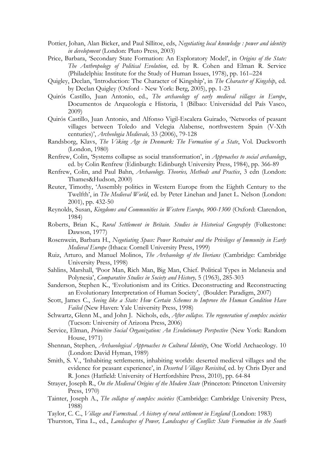- Pottier, Johan, Alan Bicker, and Paul Sillitoe, eds, *Negotiating local knowledge : power and identity in development* (London: Pluto Press, 2003)
- Price, Barbara, 'Secondary State Formation: An Exploratory Model', in *Origins of the State: The Anthropology of Political Evolution*, ed. by R. Cohen and Elman R. Service (Philadelphia: Institute for the Study of Human Issues, 1978), pp. 161–224
- Quigley, Declan, 'Introduction: The Character of Kingship', in *The Character of Kingship*, ed. by Declan Quigley (Oxford - New York: Berg, 2005), pp. 1-23
- Quirós Castillo, Juan Antonio, ed., *The archaeology of early medieval villages in Europe*, Documentos de Arqueología e Historia, 1 (Bilbao: Universidad del País Vasco, 2009)
- Quirós Castillo, Juan Antonio, and Alfonso Vigil-Escalera Guirado, 'Networks of peasant villages between Toledo and Velegia Alabense, northwestern Spain (V-Xth centuries)', *Archeologia Medievale,* 33 (2006), 79-128
- Randsborg, Klavs, *The Viking Age in Denmark: The Formation of a State*, Vol. Duckworth (London, 1980)
- Renfrew, Colin, 'Systems collapse as social transformation', in *Approaches to social archaeology*, ed. by Colin Renfrew (Edinburgh: Edinburgh University Press, 1984), pp. 366-89
- Renfrew, Colin, and Paul Bahn, *Archaeology. Theories, Methods and Practice*, 3 edn (London: Thames&Hudson, 2000)
- Reuter, Timothy, 'Assembly politics in Western Europe from the Eighth Century to the Twelfth', in *The Medieval World*, ed. by Peter Linehan and Janet L. Nelson (London: 2001), pp. 432-50
- Reynolds, Susan, *Kingdoms and Communities in Western Europe, 900-1300* (Oxford: Clarendon, 1984)
- Roberts, Brian K., *Rural Settlement in Britain. Studies in Historical Geography* (Folkestone: Dawson, 1977)
- Rosenwein, Barbara H., *Negotiating Space: Power Restraint and the Privileges of Immunity in Early Medieval Europe* (Ithaca: Cornell University Press, 1999)
- Ruiz, Arturo, and Manuel Molinos, *The Archaeology of the Iberians* (Cambridge: Cambridge University Press, 1998)
- Sahlins, Marshall, 'Poor Man, Rich Man, Big Man, Chief. Political Types in Melanesia and Polynesia', *Comparative Studies in Society and History,* 5 (1963), 285-303
- Sanderson, Stephen K., 'Evolutionism and its Critics. Deconstructing and Reconstructing an Evolutionary Interpretation of Human Society', (Boulder: Paradigm, 2007)
- Scott, James C., *Seeing like a State: How Certain Schemes to Improve the Human Condition Have Failed* (New Haven: Yale University Press, 1998)
- Schwartz, Glenn M., and John J. Nichols, eds, *After collapse. The regeneration of complex societies* (Tucson: University of Arizona Press, 2006)
- Service, Elman, *Primitive Social Organization: An Evolutionary Perspective* (New York: Random House, 1971)
- Shennan, Stephen, *Archaeological Approaches to Cultural Identity*, One World Archaeology. 10 (London: David Hyman, 1989)
- Smith, S. V., 'Inhabiting settlements, inhabiting worlds: deserted medieval villages and the evidence for peasant experience', in *Deserted Villages Revisited*, ed. by Chris Dyer and R. Jones (Hatfield: University of Hertfordshire Press, 2010), pp. 64-84
- Strayer, Joseph R., *On the Medieval Origins of the Modern State* (Princeton: Princeton University Press, 1970)
- Tainter, Joseph A., *The collapse of complex societies* (Cambridge: Cambridge University Press, 1988)

Taylor, C. C., *Village and Farmstead. A history of rural settlement in England* (London: 1983)

Thurston, Tina L., ed., *Landscapes of Power, Landscapes of Conflict: State Formation in the South*